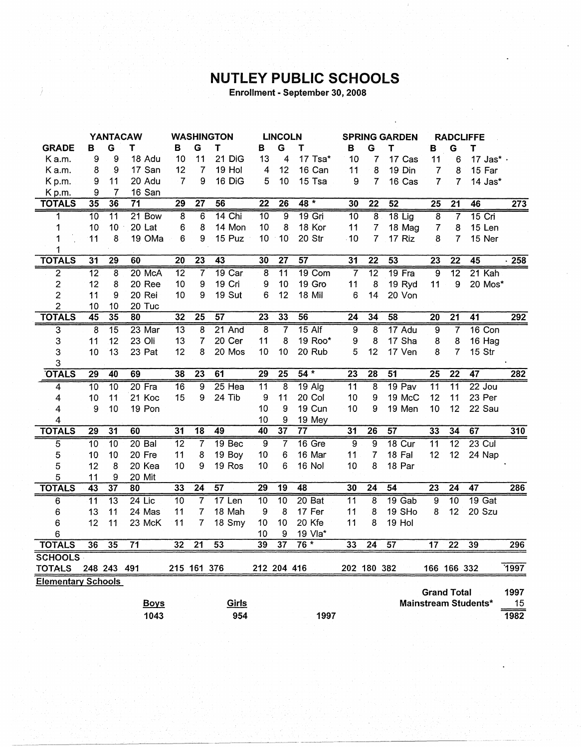## **NUTLEY PUBLIC SCHOOLS**

Enrollment - September 30, 2008

|                           | <b>YANTACAW</b> |                 | <b>WASHINGTON</b> |                 | <b>LINCOLN</b>  |                   |                 | <b>SPRING GARDEN</b> |                   |                 |                 | <b>RADCLIFFE</b> |                         |                 |                      |                   |
|---------------------------|-----------------|-----------------|-------------------|-----------------|-----------------|-------------------|-----------------|----------------------|-------------------|-----------------|-----------------|------------------|-------------------------|-----------------|----------------------|-------------------|
| <b>GRADE</b>              | в               | G               | т                 | в               | G               | т                 | В               | G                    | Т                 | в               | G               | T                | В                       | G               | Т                    |                   |
| K a.m.                    | 9               | 9               | 18 Adu            | 10              | 11              | 21 DiG            | 13              | 4                    | 17 Tsa*           | 10              | 7               | 17 Cas           | 11                      | 6               | 17 Jas* ·            |                   |
| Ka.m.                     | 8               | 9               | 17 San            | 12              | $\overline{7}$  | 19 Hol            | $\overline{4}$  | 12                   | 16 Can            | 11              | 8               | 19 Din           | $\overline{7}$          | 8               | 15 Far               |                   |
| Kp.m.                     | 9               | 11              | 20 Adu            | $\overline{7}$  | 9               | 16 DiG            | 5               | 10                   | 15 Tsa            | 9               | 7               | 16 Cas           | $\overline{7}$          | $\overline{7}$  | 14 Jas*              |                   |
| Kp.m.                     | 9               | 7               | 16 San            |                 |                 |                   |                 |                      |                   |                 |                 |                  |                         |                 |                      |                   |
| <b>TOTALS</b>             | 35              | 36              | $\overline{71}$   | 29              | $\overline{27}$ | 56                | $\overline{22}$ | $\overline{26}$      | $48*$             | 30              | $\overline{22}$ | 52               | $\overline{25}$         | $\overline{21}$ | 46                   | 273               |
| 1                         | $\overline{10}$ | $\overline{11}$ | $21$ Bow          | 8               | 6               | $14$ Chi          | $\overline{10}$ | 9                    | $19$ Gri          | $\overline{10}$ | 8               | $18$ Lig         | $\overline{8}$          | $\overline{7}$  | $15$ Cri             |                   |
| 1                         | 10              | 10              | 20 Lat            | 6               | 8               | 14 Mon            | 10              | 8                    | 18 Kor            | 11              | $\overline{7}$  | 18 Mag           | $\overline{\mathbf{7}}$ | 8               | 15 Len               |                   |
| 1                         | 11              | 8               | 19 OMa            | 6               | 9               | 15 Puz            | 10              | 10                   | 20 Str            | $-10$           | $\overline{7}$  | 17 Riz           | 8                       | 7               | 15 Ner               |                   |
| 1                         |                 |                 |                   |                 |                 |                   |                 |                      |                   |                 |                 |                  |                         |                 |                      |                   |
| <b>TOTALS</b>             | $\overline{31}$ | $\overline{29}$ | 60                | $\overline{20}$ | $\overline{23}$ | 43                | 30              | $\overline{27}$      | 57                | 31              | $\overline{22}$ | $\overline{53}$  | 23                      | $\overline{22}$ | 45                   | $\overline{.258}$ |
| $\overline{2}$            | $\overline{12}$ | $\overline{8}$  | 20 McA            | $\overline{12}$ | $\overline{7}$  | $19$ Car          | $\overline{8}$  | $\overline{11}$      | 19 Com            | $\overline{7}$  | $\overline{12}$ | $19$ Fra         | 9                       | $\overline{12}$ | 21 Kah               |                   |
| $\overline{2}$            | 12              | 8               | 20 Ree            | 10              | 9               | 19 Cri            | 9               | 10                   | 19 Gro            | 11              | 8               | 19 Ryd           | 11                      | 9               | 20 Mos*              |                   |
| 2                         | 11              | 9               | 20 Rei            | 10              | 9               | 19 Sut            | 6               | 12                   | 18 Mil            | 6               | 14              | 20 Von           |                         |                 |                      |                   |
| $\overline{c}$            | 10              | 10              | 20 Tuc            |                 |                 |                   |                 |                      |                   |                 |                 |                  |                         |                 |                      |                   |
| <b>TOTALS</b>             | 45              | 35              | 80                | 32              | $\overline{25}$ | $\overline{57}$   | $\overline{23}$ | 33                   | 56                | $\overline{24}$ | 34              | 58               | $\overline{20}$         | $\overline{21}$ | $\overline{41}$      | 292               |
| $\overline{\mathbf{3}}$   | $\overline{8}$  | $\overline{15}$ | 23 Mar            | $\overline{13}$ | $\overline{8}$  | $21$ And          | 8               | 7                    | $15$ Alf          | 9               | 8               | 17 Adu           | $\overline{9}$          | 7               | 16 Con               |                   |
| 3                         | 11              | 12              | 23 Oli            | 13              | 7               | 20 Cer            | 11              | 8                    | 19 Roo*           | 9               | 8               | 17 Sha           | 8                       | 8               | 16 Hag               |                   |
| 3                         | 10              | 13              | 23 Pat            | 12              | 8               | 20 Mos            | 10              | 10                   | 20 Rub            | 5               | 12              | 17 Ven           | 8                       | $\overline{7}$  | 15 Str               |                   |
| 3                         |                 |                 |                   |                 |                 |                   |                 |                      |                   |                 |                 |                  |                         |                 |                      |                   |
| <b>OTALS</b>              | $\overline{29}$ | 40              | 69                | 38              | 23              | 61                | 29              | $\overline{25}$      | $54*$             | 23              | 28              | $\overline{51}$  | 25                      | $\overline{22}$ | $\overline{47}$      | 282               |
| 4                         | $\overline{10}$ | $\overline{10}$ | $20$ Fra          | 16              | 9               | $25$ Hea          | 11              | 8                    | $19$ Alg          | 11              | 8               | 19 Pav           | $\overline{11}$         | $\overline{11}$ | $22$ Jou             |                   |
| 4                         | 10              | 11              | 21 Koc            | 15              | 9               | 24 Tib            | 9               | 11                   | 20 Col            | 10              | 9               | 19 McC           | 12                      | 11              | 23 Per               |                   |
| 4                         | 9               | 10              | 19 Pon            |                 |                 |                   | 10              | 9                    | 19 Cun            | 10              | 9               | 19 Men           | 10                      | 12              | 22 Sau               |                   |
| 4                         |                 |                 |                   |                 |                 |                   | 10              | 9                    | 19 Mey            |                 |                 |                  |                         |                 |                      |                   |
| <b>TOTALS</b>             | $\overline{29}$ | $\overline{31}$ | 60                | 31              | $\overline{18}$ | 49                | 40              | $\overline{37}$      | $\overline{77}$   | 31              | $\overline{26}$ | $\overline{57}$  | 33                      | 34              | 67                   | 310               |
| 5                         | $\overline{10}$ | $\overline{10}$ | $20$ Bal          | $\overline{12}$ | $\overline{7}$  | 19 <sub>Bec</sub> | $\overline{9}$  | $\overline{7}$       | 16 Gre            | 9               | 9               | $18$ Cur         | $\overline{11}$         | $\overline{12}$ | $23$ Cul             |                   |
| 5                         | 10              | 10              | 20 Fre            | 11              | 8               | 19 Boy            | 10              | 6                    | 16 Mar            | 11              | 7               | 18 Fal           | 12                      | 12              | 24 Nap               |                   |
| 5                         | 12              | 8               | 20 Kea            | 10              | 9               | 19 Ros            | 10              | 6                    | <b>16 Nol</b>     | 10              | 8               | 18 Par           |                         |                 |                      |                   |
| 5                         | 11              | 9               | 20 Mit            |                 |                 |                   |                 |                      |                   |                 |                 |                  |                         |                 |                      |                   |
| <b>TOTALS</b>             | $\overline{43}$ | $\overline{37}$ | 80                | $\overline{33}$ | $\overline{24}$ | $\overline{57}$   | $\overline{29}$ | $\overline{19}$      | 48                | 30              | $\overline{24}$ | $\overline{54}$  | $\overline{23}$         | $\overline{24}$ | 47                   | 286               |
| 6                         | $\overline{11}$ | $\overline{13}$ | $24$ Lic          | 10              | 7               | $17$ Len          | 10              | $\overline{10}$      | 20 <sub>Bat</sub> | $\overline{11}$ | 8               | 19 Gab           | $\overline{9}$          | $\overline{10}$ | 19 <sub> Gat</sub>   |                   |
| 6                         | 13              | 11              | 24 Mas            | 11              | 7               | 18 Mah            | 9               | 8                    | 17 Fer            | 11              | 8               | 19 SHo           | 8                       | 12              | 20 Szu               |                   |
| 6                         | 12              | 11              | 23 McK            | 11              | 7               | 18 Smy            | 10              | 10                   | 20 Kfe            | 11              | 8               | 19 Hol           |                         |                 |                      |                   |
| 6                         |                 |                 |                   |                 |                 |                   | 10              | 9                    | 19 Vla*           |                 |                 |                  |                         |                 |                      |                   |
| <b>TOTALS</b>             | 36              | 35              | $\overline{71}$   | 32              | $\overline{21}$ | $\overline{53}$   | 39              | $\overline{37}$      | $76*$             | 33              | $\overline{24}$ | $\overline{57}$  | 17                      | $\overline{22}$ | 39                   | 296               |
| <b>SCHOOLS</b>            |                 |                 |                   |                 |                 |                   |                 |                      |                   |                 |                 |                  |                         |                 |                      |                   |
| <b>TOTALS</b>             |                 | 248 243 491     |                   |                 | 215 161 376     |                   | 212 204 416     |                      |                   |                 | 202 180 382     |                  |                         | 166 166 332     |                      | 7997              |
| <b>Elementary Schools</b> |                 |                 |                   |                 |                 |                   |                 |                      |                   |                 |                 |                  |                         |                 |                      |                   |
|                           |                 |                 |                   |                 |                 |                   |                 |                      |                   |                 |                 |                  | <b>Grand Total</b>      |                 |                      | 1997              |
|                           |                 |                 | <b>Boys</b>       |                 |                 | Girls             |                 |                      |                   |                 |                 |                  |                         |                 | Mainstream Students* | 15                |
|                           |                 |                 | 1043              |                 |                 | 954               |                 |                      | 1997              |                 |                 |                  |                         |                 |                      | 1982              |